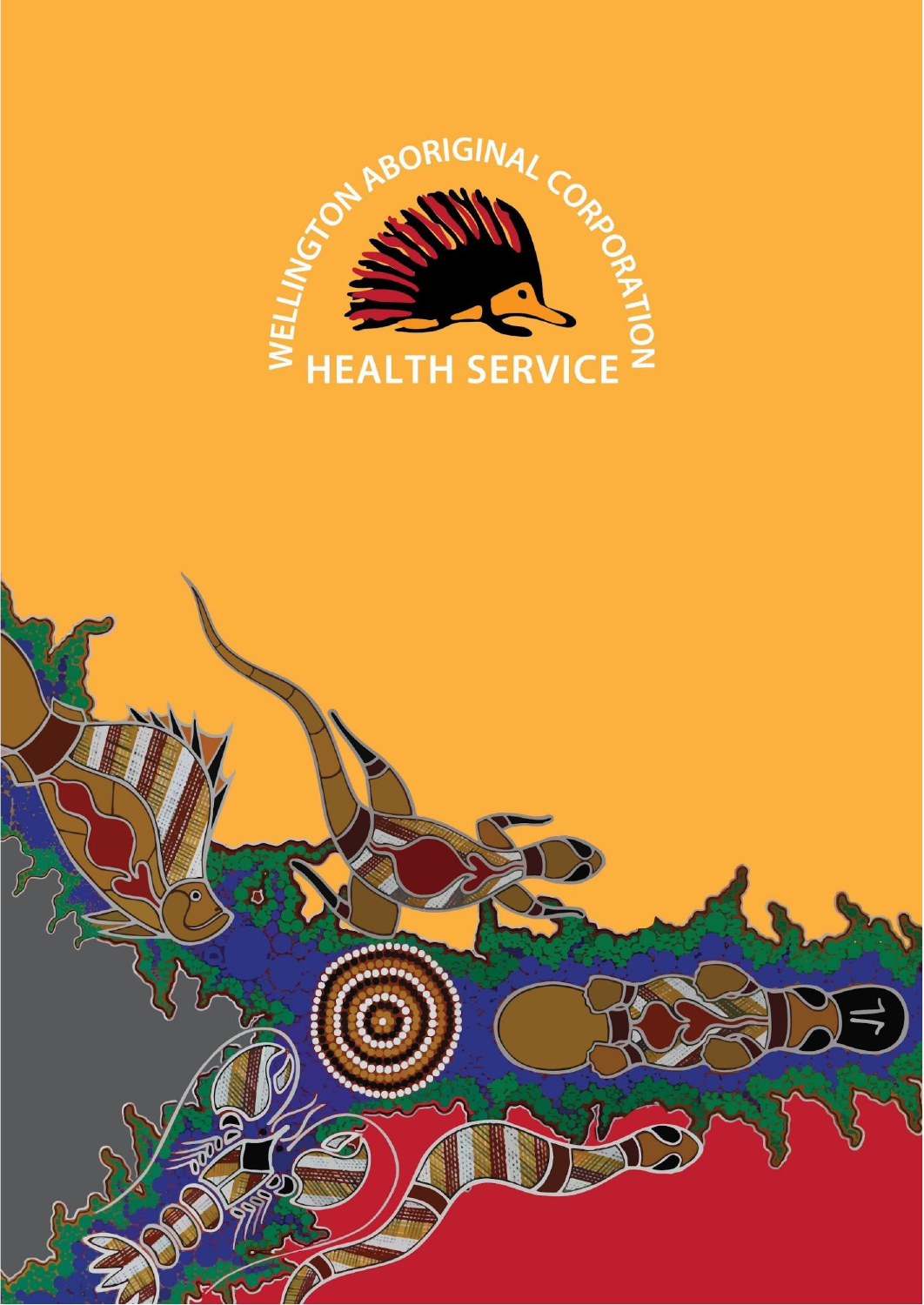

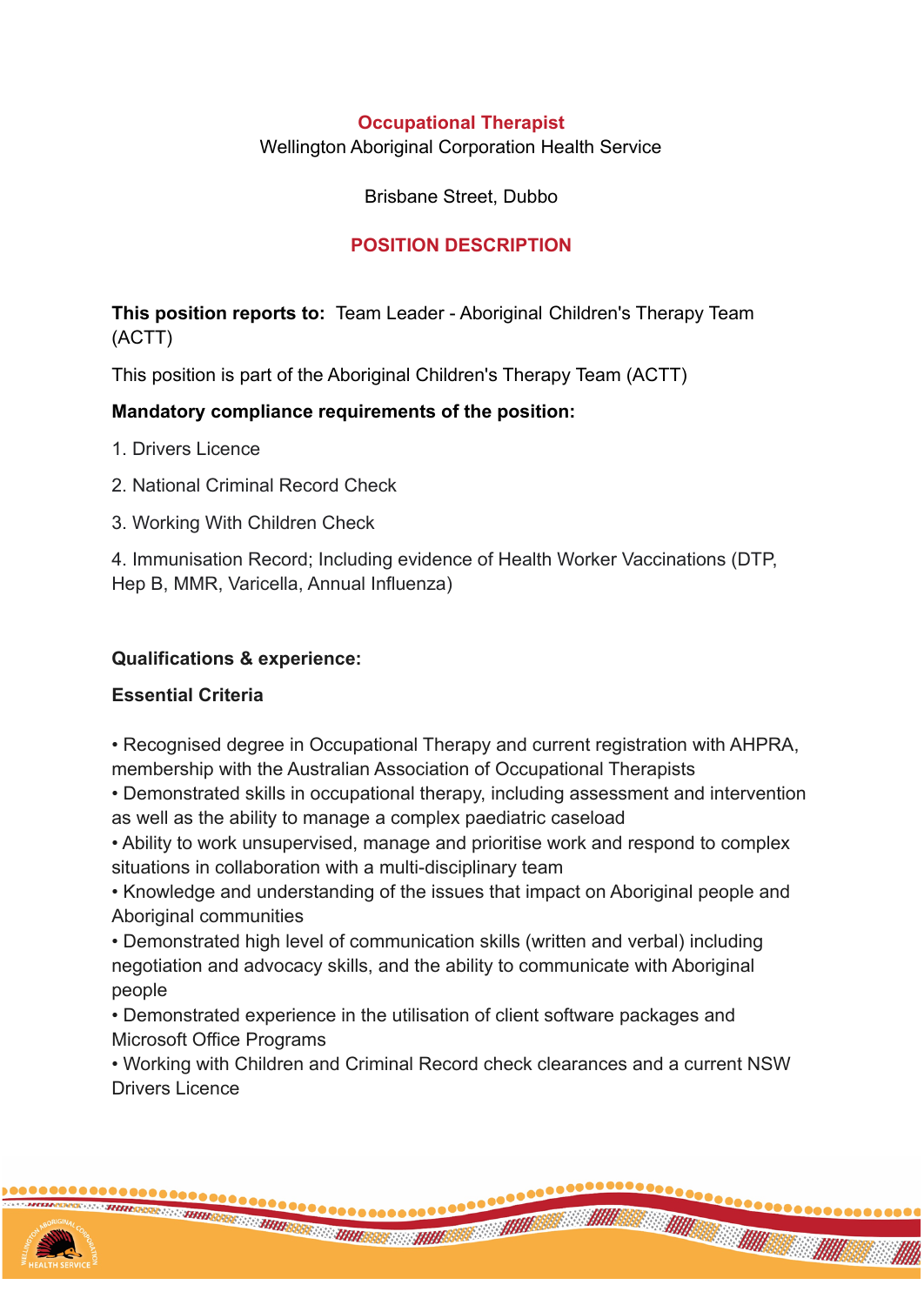#### **Occupational Therapist**

Wellington Aboriginal Corporation Health Service

Brisbane Street, Dubbo

## **POSITION DESCRIPTION**

**This position reports to:** Team Leader - Aboriginal Children's Therapy Team (ACTT)

This position is part of the Aboriginal Children's Therapy Team (ACTT)

### **Mandatory compliance requirements of the position:**

- 1. Drivers Licence
- 2. National Criminal Record Check
- 3. Working With Children Check

4. Immunisation Record; Including evidence of Health Worker Vaccinations (DTP, Hep B, MMR, Varicella, Annual Influenza)

### **Qualifications & experience:**

#### **Essential Criteria**

• Recognised degree in Occupational Therapy and current registration with AHPRA, membership with the Australian Association of Occupational Therapists

• Demonstrated skills in occupational therapy, including assessment and intervention as well as the ability to manage a complex paediatric caseload

• Ability to work unsupervised, manage and prioritise work and respond to complex situations in collaboration with a multi-disciplinary team

• Knowledge and understanding of the issues that impact on Aboriginal people and Aboriginal communities

• Demonstrated high level of communication skills (written and verbal) including negotiation and advocacy skills, and the ability to communicate with Aboriginal people

• Demonstrated experience in the utilisation of client software packages and Microsoft Office Programs

• Working with Children and Criminal Record check clearances and a current NSW Drivers Licence

........

**THE CONTRACTOR** 

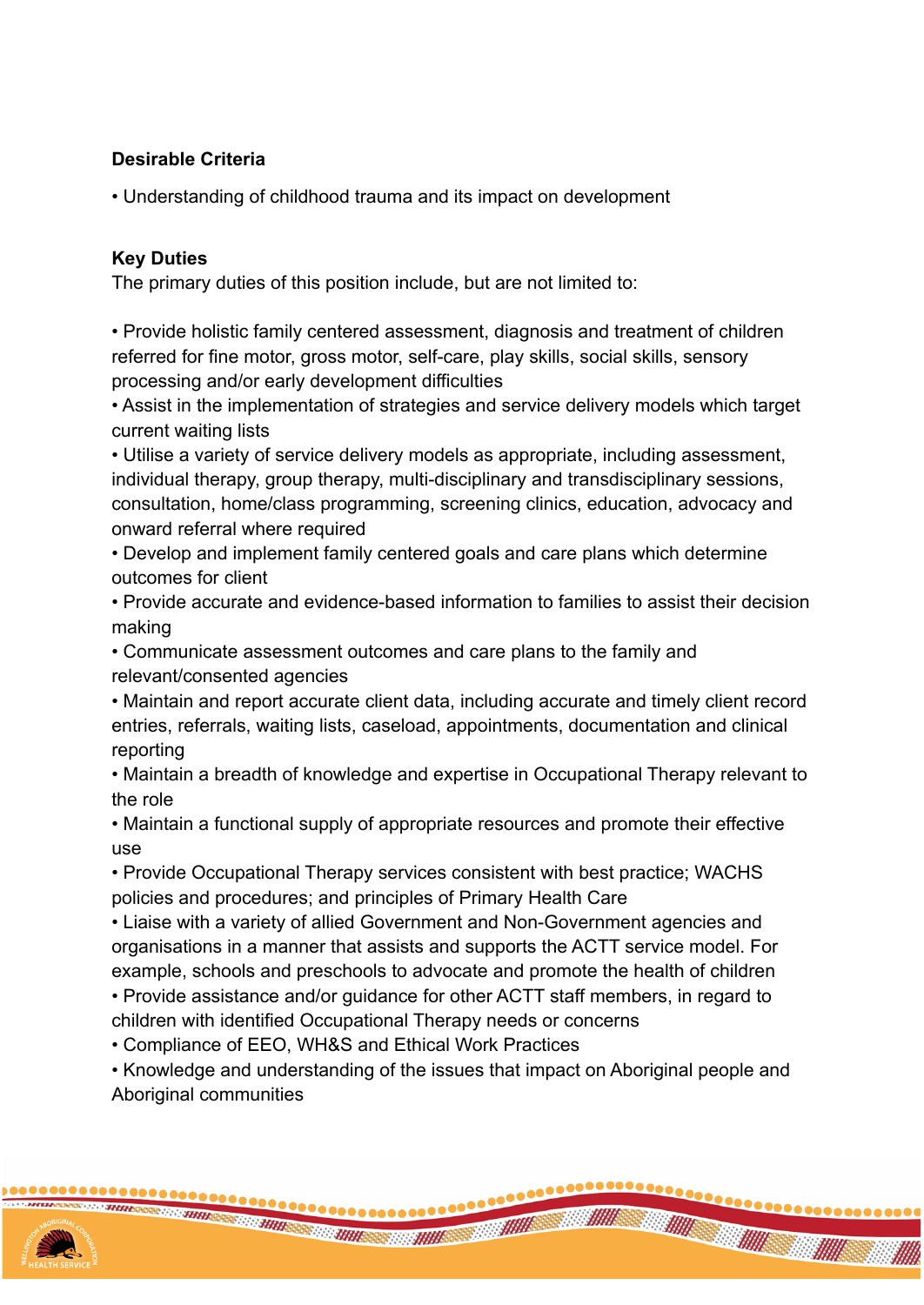# **Desirable Criteria**

• Understanding of childhood trauma and its impact on development

## **Key Duties**

The primary duties of this position include, but are not limited to:

• Provide holistic family centered assessment, diagnosis and treatment of children referred for fine motor, gross motor, self-care, play skills, social skills, sensory processing and/or early development difficulties

• Assist in the implementation of strategies and service delivery models which target current waiting lists

• Utilise a variety of service delivery models as appropriate, including assessment, individual therapy, group therapy, multi-disciplinary and transdisciplinary sessions, consultation, home/class programming, screening clinics, education, advocacy and onward referral where required

• Develop and implement family centered goals and care plans which determine outcomes for client

• Provide accurate and evidence-based information to families to assist their decision making

• Communicate assessment outcomes and care plans to the family and relevant/consented agencies

• Maintain and report accurate client data, including accurate and timely client record entries, referrals, waiting lists, caseload, appointments, documentation and clinical reporting

• Maintain a breadth of knowledge and expertise in Occupational Therapy relevant to the role

• Maintain a functional supply of appropriate resources and promote their effective use

• Provide Occupational Therapy services consistent with best practice; WACHS policies and procedures; and principles of Primary Health Care

• Liaise with a variety of allied Government and Non-Government agencies and organisations in a manner that assists and supports the ACTT service model. For example, schools and preschools to advocate and promote the health of children

• Provide assistance and/or guidance for other ACTT staff members, in regard to children with identified Occupational Therapy needs or concerns

• Compliance of EEO, WH&S and Ethical Work Practices

• Knowledge and understanding of the issues that impact on Aboriginal people and Aboriginal communities

**THE CONSTRUCTION OF THE CONSTRUCTION** 

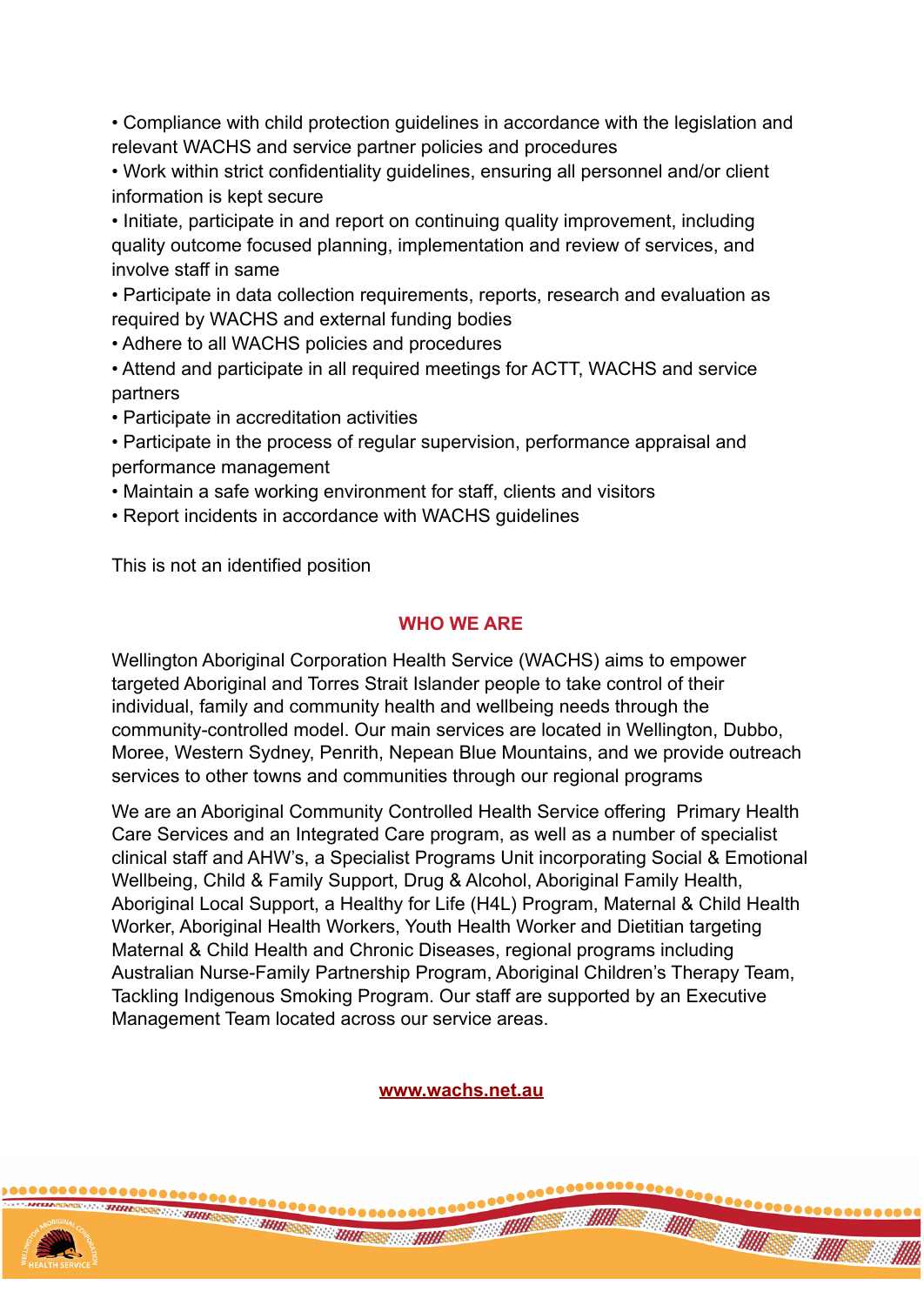• Compliance with child protection guidelines in accordance with the legislation and relevant WACHS and service partner policies and procedures

• Work within strict confidentiality guidelines, ensuring all personnel and/or client information is kept secure

• Initiate, participate in and report on continuing quality improvement, including quality outcome focused planning, implementation and review of services, and involve staff in same

• Participate in data collection requirements, reports, research and evaluation as required by WACHS and external funding bodies

• Adhere to all WACHS policies and procedures

• Attend and participate in all required meetings for ACTT, WACHS and service partners

• Participate in accreditation activities

• Participate in the process of regular supervision, performance appraisal and performance management

• Maintain a safe working environment for staff, clients and visitors

• Report incidents in accordance with WACHS guidelines

This is not an identified position

# **WHO WE ARE**

Wellington Aboriginal Corporation Health Service (WACHS) aims to empower targeted Aboriginal and Torres Strait Islander people to take control of their individual, family and community health and wellbeing needs through the community-controlled model. Our main services are located in Wellington, Dubbo, Moree, Western Sydney, Penrith, Nepean Blue Mountains, and we provide outreach services to other towns and communities through our regional programs

We are an Aboriginal Community Controlled Health Service offering Primary Health Care Services and an Integrated Care program, as well as a number of specialist clinical staff and AHW's, a Specialist Programs Unit incorporating Social & Emotional Wellbeing, Child & Family Support, Drug & Alcohol, Aboriginal Family Health, Aboriginal Local Support, a Healthy for Life (H4L) Program, Maternal & Child Health Worker, Aboriginal Health Workers, Youth Health Worker and Dietitian targeting Maternal & Child Health and Chronic Diseases, regional programs including Australian Nurse-Family Partnership Program, Aboriginal Children's Therapy Team, Tackling Indigenous Smoking Program. Our staff are supported by an Executive Management Team located across our service areas.

#### **[www.wachs.net.au](http://www.wachs.net.au)**

 $\bullet\bullet\bullet\bullet\bullet\bullet\bullet$ 

*<u> ANTIQUE ANNIS DE LA CARDINAL ANNIS DE L'ANTIQUE ANNIS DE L'ANTIQUE ANNIS DE L'ANTIQUE ANNIS DE L'ANTIQUE AN*</u>